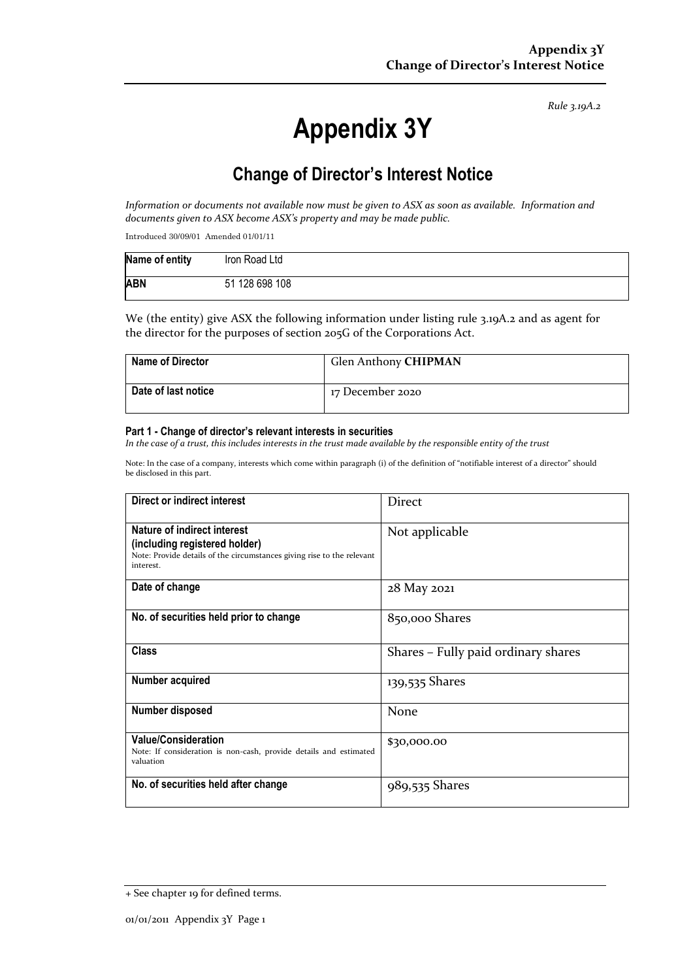*Rule 3.19A.2*

# **Appendix 3Y**

# **Change of Director's Interest Notice**

*Information or documents not available now must be given to ASX as soon as available. Information and documents given to ASX become ASX's property and may be made public.*

Introduced 30/09/01 Amended 01/01/11

| Name of entity | Iron Road Ltd  |
|----------------|----------------|
| <b>ABN</b>     | 51 128 698 108 |

We (the entity) give ASX the following information under listing rule 3.19A.2 and as agent for the director for the purposes of section 205G of the Corporations Act.

| <b>Name of Director</b>    | Glen Anthony CHIPMAN |
|----------------------------|----------------------|
| <b>Date of last notice</b> | 17 December 2020     |

#### **Part 1 - Change of director's relevant interests in securities**

*In the case of a trust, this includes interests in the trust made available by the responsible entity of the trust*

Note: In the case of a company, interests which come within paragraph (i) of the definition of "notifiable interest of a director" should be disclosed in this part.

| Direct or indirect interest                                                                                                                         | Direct                              |
|-----------------------------------------------------------------------------------------------------------------------------------------------------|-------------------------------------|
| Nature of indirect interest<br>(including registered holder)<br>Note: Provide details of the circumstances giving rise to the relevant<br>interest. | Not applicable                      |
| Date of change                                                                                                                                      | 28 May 2021                         |
| No. of securities held prior to change                                                                                                              | 850,000 Shares                      |
| <b>Class</b>                                                                                                                                        | Shares - Fully paid ordinary shares |
| Number acquired                                                                                                                                     | 139,535 Shares                      |
| Number disposed                                                                                                                                     | None                                |
| <b>Value/Consideration</b><br>Note: If consideration is non-cash, provide details and estimated<br>valuation                                        | \$30,000.00                         |
| No. of securities held after change                                                                                                                 | 989,535 Shares                      |

<sup>+</sup> See chapter 19 for defined terms.